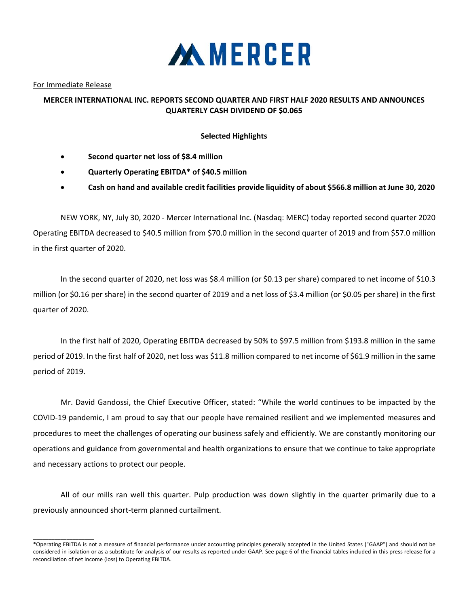

For Immediate Release

\_\_\_\_\_\_\_\_\_\_\_\_\_\_\_\_\_\_\_\_

## **MERCER INTERNATIONAL INC. REPORTS SECOND QUARTER AND FIRST HALF 2020 RESULTS AND ANNOUNCES QUARTERLY CASH DIVIDEND OF \$0.065**

## **Selected Highlights**

- **Second quarter net loss of \$8.4 million**
- **Quarterly Operating EBITDA\* of \$40.5 million**
- **Cash on hand and available credit facilities provide liquidity of about \$566.8 million at June 30, 2020**

NEW YORK, NY, July 30, 2020 ‐ Mercer International Inc. (Nasdaq: MERC) today reported second quarter 2020 Operating EBITDA decreased to \$40.5 million from \$70.0 million in the second quarter of 2019 and from \$57.0 million in the first quarter of 2020.

In the second quarter of 2020, net loss was \$8.4 million (or \$0.13 per share) compared to net income of \$10.3 million (or \$0.16 per share) in the second quarter of 2019 and a net loss of \$3.4 million (or \$0.05 per share) in the first quarter of 2020.

In the first half of 2020, Operating EBITDA decreased by 50% to \$97.5 million from \$193.8 million in the same period of 2019. In the first half of 2020, net loss was \$11.8 million compared to net income of \$61.9 million in the same period of 2019.

Mr. David Gandossi, the Chief Executive Officer, stated: "While the world continues to be impacted by the COVID‐19 pandemic, I am proud to say that our people have remained resilient and we implemented measures and procedures to meet the challenges of operating our business safely and efficiently. We are constantly monitoring our operations and guidance from governmental and health organizations to ensure that we continue to take appropriate and necessary actions to protect our people.

All of our mills ran well this quarter. Pulp production was down slightly in the quarter primarily due to a previously announced short‐term planned curtailment.

<sup>\*</sup>Operating EBITDA is not a measure of financial performance under accounting principles generally accepted in the United States ("GAAP") and should not be considered in isolation or as a substitute for analysis of our results as reported under GAAP. See page 6 of the financial tables included in this press release for a reconciliation of net income (loss) to Operating EBITDA.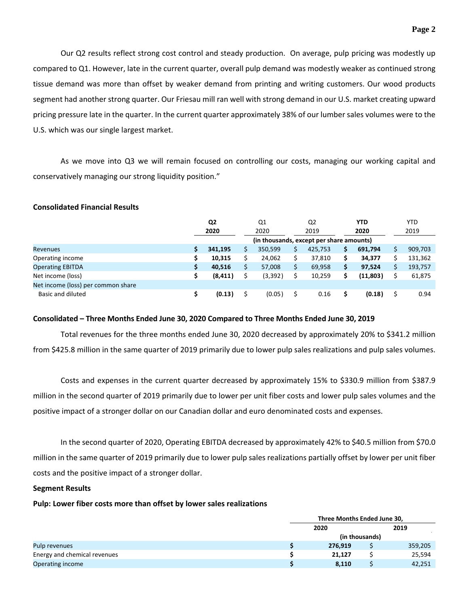Our Q2 results reflect strong cost control and steady production. On average, pulp pricing was modestly up compared to Q1. However, late in the current quarter, overall pulp demand was modestly weaker as continued strong tissue demand was more than offset by weaker demand from printing and writing customers. Our wood products segment had another strong quarter. Our Friesau mill ran well with strong demand in our U.S. market creating upward pricing pressure late in the quarter. In the current quarter approximately 38% of our lumber sales volumes were to the U.S. which was our single largest market.

As we move into Q3 we will remain focused on controlling our costs, managing our working capital and conservatively managing our strong liquidity position."

## **Consolidated Financial Results**

|                                    | Q <sub>2</sub> |          | Q <sub>1</sub> |         | Q2   |         | <b>YTD</b> |          |      | <b>YTD</b> |
|------------------------------------|----------------|----------|----------------|---------|------|---------|------------|----------|------|------------|
|                                    |                | 2020     | 2020           |         | 2019 |         |            | 2020     | 2019 |            |
|                                    |                |          |                |         |      |         |            |          |      |            |
| <b>Revenues</b>                    |                | 341.195  |                | 350,599 |      | 425,753 | \$         | 691,794  |      | 909,703    |
| Operating income                   |                | 10,315   |                | 24,062  |      | 37,810  | \$         | 34,377   |      | 131,362    |
| <b>Operating EBITDA</b>            | Ś              | 40.516   |                | 57,008  |      | 69,958  | \$         | 97.524   |      | 193,757    |
| Net income (loss)                  |                | (8, 411) |                | (3,392) |      | 10,259  | Ś          | (11,803) |      | 61,875     |
| Net income (loss) per common share |                |          |                |         |      |         |            |          |      |            |
| Basic and diluted                  |                | (0.13)   |                | (0.05)  |      | 0.16    |            | (0.18)   |      | 0.94       |

## **Consolidated – Three Months Ended June 30, 2020 Compared to Three Months Ended June 30, 2019**

Total revenues for the three months ended June 30, 2020 decreased by approximately 20% to \$341.2 million from \$425.8 million in the same quarter of 2019 primarily due to lower pulp sales realizations and pulp sales volumes.

Costs and expenses in the current quarter decreased by approximately 15% to \$330.9 million from \$387.9 million in the second quarter of 2019 primarily due to lower per unit fiber costs and lower pulp sales volumes and the positive impact of a stronger dollar on our Canadian dollar and euro denominated costs and expenses.

In the second quarter of 2020, Operating EBITDA decreased by approximately 42% to \$40.5 million from \$70.0 million in the same quarter of 2019 primarily due to lower pulp sales realizations partially offset by lower per unit fiber costs and the positive impact of a stronger dollar.

## **Segment Results**

## **Pulp: Lower fiber costs more than offset by lower sales realizations**

|                              | Three Months Ended June 30, |  |         |  |  |  |  |  |
|------------------------------|-----------------------------|--|---------|--|--|--|--|--|
|                              | 2020                        |  | 2019    |  |  |  |  |  |
|                              | (in thousands)              |  |         |  |  |  |  |  |
| Pulp revenues                | 276.919                     |  | 359,205 |  |  |  |  |  |
| Energy and chemical revenues | 21,127                      |  | 25,594  |  |  |  |  |  |
| Operating income             | 8,110                       |  | 42,251  |  |  |  |  |  |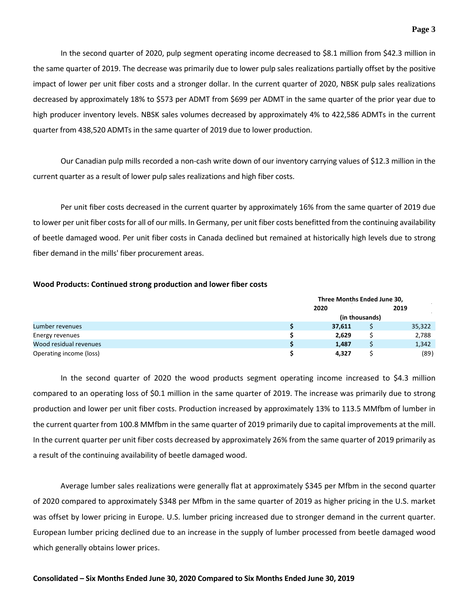In the second quarter of 2020, pulp segment operating income decreased to \$8.1 million from \$42.3 million in the same quarter of 2019. The decrease was primarily due to lower pulp sales realizations partially offset by the positive impact of lower per unit fiber costs and a stronger dollar. In the current quarter of 2020, NBSK pulp sales realizations decreased by approximately 18% to \$573 per ADMT from \$699 per ADMT in the same quarter of the prior year due to high producer inventory levels. NBSK sales volumes decreased by approximately 4% to 422,586 ADMTs in the current quarter from 438,520 ADMTs in the same quarter of 2019 due to lower production.

Our Canadian pulp mills recorded a non‐cash write down of our inventory carrying values of \$12.3 million in the current quarter as a result of lower pulp sales realizations and high fiber costs.

Per unit fiber costs decreased in the current quarter by approximately 16% from the same quarter of 2019 due to lower per unit fiber costs for all of our mills. In Germany, per unit fiber costs benefitted from the continuing availability of beetle damaged wood. Per unit fiber costs in Canada declined but remained at historically high levels due to strong fiber demand in the mills' fiber procurement areas.

### **Wood Products: Continued strong production and lower fiber costs**

|                         |      | Three Months Ended June 30, |                |        |  |  |  |  |  |
|-------------------------|------|-----------------------------|----------------|--------|--|--|--|--|--|
|                         | 2020 |                             | 2019           |        |  |  |  |  |  |
|                         |      |                             | (in thousands) |        |  |  |  |  |  |
| Lumber revenues         |      | 37,611                      |                | 35,322 |  |  |  |  |  |
| Energy revenues         |      | 2,629                       |                | 2,788  |  |  |  |  |  |
| Wood residual revenues  |      | 1,487                       |                | 1,342  |  |  |  |  |  |
| Operating income (loss) |      | 4,327                       |                | (89)   |  |  |  |  |  |

In the second quarter of 2020 the wood products segment operating income increased to \$4.3 million compared to an operating loss of \$0.1 million in the same quarter of 2019. The increase was primarily due to strong production and lower per unit fiber costs. Production increased by approximately 13% to 113.5 MMfbm of lumber in the current quarter from 100.8 MMfbm in the same quarter of 2019 primarily due to capital improvements at the mill. In the current quarter per unit fiber costs decreased by approximately 26% from the same quarter of 2019 primarily as a result of the continuing availability of beetle damaged wood.

Average lumber sales realizations were generally flat at approximately \$345 per Mfbm in the second quarter of 2020 compared to approximately \$348 per Mfbm in the same quarter of 2019 as higher pricing in the U.S. market was offset by lower pricing in Europe. U.S. lumber pricing increased due to stronger demand in the current quarter. European lumber pricing declined due to an increase in the supply of lumber processed from beetle damaged wood which generally obtains lower prices.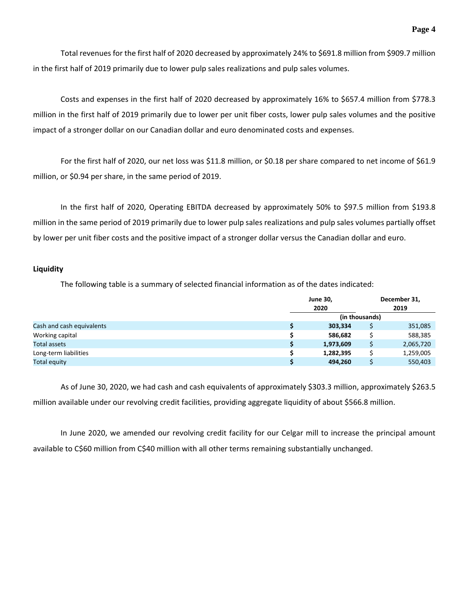Total revenues for the first half of 2020 decreased by approximately 24% to \$691.8 million from \$909.7 million in the first half of 2019 primarily due to lower pulp sales realizations and pulp sales volumes.

Costs and expenses in the first half of 2020 decreased by approximately 16% to \$657.4 million from \$778.3 million in the first half of 2019 primarily due to lower per unit fiber costs, lower pulp sales volumes and the positive impact of a stronger dollar on our Canadian dollar and euro denominated costs and expenses.

For the first half of 2020, our net loss was \$11.8 million, or \$0.18 per share compared to net income of \$61.9 million, or \$0.94 per share, in the same period of 2019.

In the first half of 2020, Operating EBITDA decreased by approximately 50% to \$97.5 million from \$193.8 million in the same period of 2019 primarily due to lower pulp sales realizations and pulp sales volumes partially offset by lower per unit fiber costs and the positive impact of a stronger dollar versus the Canadian dollar and euro.

## **Liquidity**

The following table is a summary of selected financial information as of the dates indicated:

|                           | <b>June 30,</b><br>2020 |                | December 31,<br>2019 |
|---------------------------|-------------------------|----------------|----------------------|
|                           |                         | (in thousands) |                      |
| Cash and cash equivalents | 303,334                 |                | 351,085              |
| Working capital           | 586.682                 |                | 588,385              |
| <b>Total assets</b>       | 1,973,609               |                | 2,065,720            |
| Long-term liabilities     | 1,282,395               |                | 1,259,005            |
| <b>Total equity</b>       | 494,260                 |                | 550,403              |

As of June 30, 2020, we had cash and cash equivalents of approximately \$303.3 million, approximately \$263.5 million available under our revolving credit facilities, providing aggregate liquidity of about \$566.8 million.

In June 2020, we amended our revolving credit facility for our Celgar mill to increase the principal amount available to C\$60 million from C\$40 million with all other terms remaining substantially unchanged.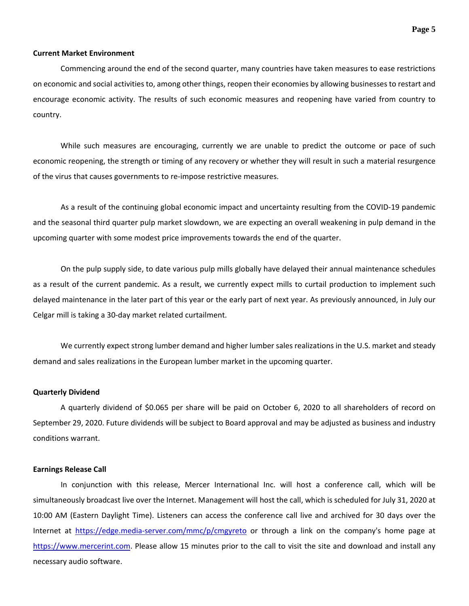### **Current Market Environment**

Commencing around the end of the second quarter, many countries have taken measures to ease restrictions on economic and social activities to, among other things, reopen their economies by allowing businesses to restart and encourage economic activity. The results of such economic measures and reopening have varied from country to country.

While such measures are encouraging, currently we are unable to predict the outcome or pace of such economic reopening, the strength or timing of any recovery or whether they will result in such a material resurgence of the virus that causes governments to re‐impose restrictive measures.

As a result of the continuing global economic impact and uncertainty resulting from the COVID‐19 pandemic and the seasonal third quarter pulp market slowdown, we are expecting an overall weakening in pulp demand in the upcoming quarter with some modest price improvements towards the end of the quarter.

On the pulp supply side, to date various pulp mills globally have delayed their annual maintenance schedules as a result of the current pandemic. As a result, we currently expect mills to curtail production to implement such delayed maintenance in the later part of this year or the early part of next year. As previously announced, in July our Celgar mill is taking a 30‐day market related curtailment.

We currently expect strong lumber demand and higher lumber sales realizations in the U.S. market and steady demand and sales realizations in the European lumber market in the upcoming quarter.

### **Quarterly Dividend**

A quarterly dividend of \$0.065 per share will be paid on October 6, 2020 to all shareholders of record on September 29, 2020. Future dividends will be subject to Board approval and may be adjusted as business and industry conditions warrant.

#### **Earnings Release Call**

In conjunction with this release, Mercer International Inc. will host a conference call, which will be simultaneously broadcast live over the Internet. Management will host the call, which is scheduled for July 31, 2020 at 10:00 AM (Eastern Daylight Time). Listeners can access the conference call live and archived for 30 days over the Internet at https://edge.media‐server.com/mmc/p/cmgyreto or through a link on the company's home page at https://www.mercerint.com. Please allow 15 minutes prior to the call to visit the site and download and install any necessary audio software.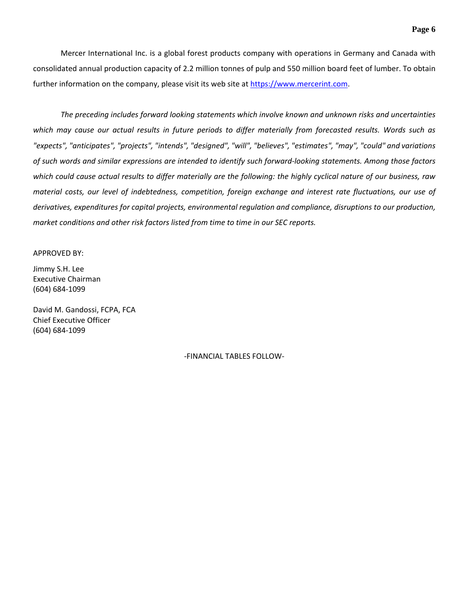Mercer International Inc. is a global forest products company with operations in Germany and Canada with consolidated annual production capacity of 2.2 million tonnes of pulp and 550 million board feet of lumber. To obtain further information on the company, please visit its web site at https://www.mercerint.com.

*The preceding includes forward looking statements which involve known and unknown risks and uncertainties* which may cause our actual results in future periods to differ materially from forecasted results. Words such as *"expects", "anticipates", "projects", "intends", "designed", "will", "believes", "estimates", "may", "could" and variations* of such words and similar expressions are intended to identify such forward-looking statements. Among those factors which could cause actual results to differ materially are the following: the highly cyclical nature of our business, raw material costs, our level of indebtedness, competition, foreign exchange and interest rate fluctuations, our use of *derivatives, expenditures for capital projects, environmental regulation and compliance, disruptions to our production, market conditions and other risk factors listed from time to time in our SEC reports.* 

## APPROVED BY:

Jimmy S.H. Lee Executive Chairman (604) 684‐1099

David M. Gandossi, FCPA, FCA Chief Executive Officer (604) 684‐1099

‐FINANCIAL TABLES FOLLOW‐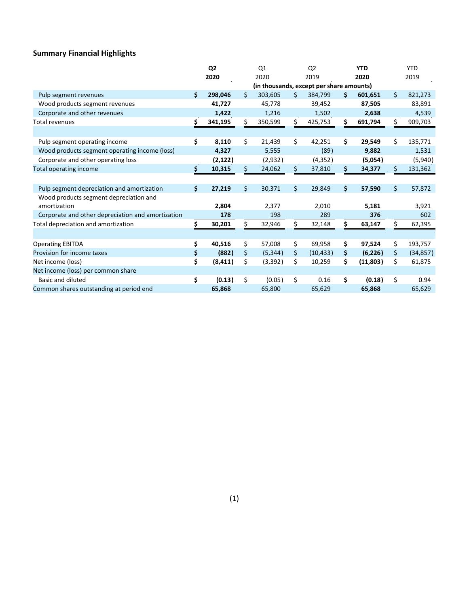# **Summary Financial Highlights**

|                                                   | Q <sub>2</sub> |          | Q1   |                                          | Q <sub>2</sub> |           | <b>YTD</b> |          |    | <b>YTD</b> |
|---------------------------------------------------|----------------|----------|------|------------------------------------------|----------------|-----------|------------|----------|----|------------|
|                                                   |                | 2020     | 2020 |                                          | 2019           |           | 2020       |          |    | 2019       |
|                                                   |                |          |      | (in thousands, except per share amounts) |                |           |            |          |    |            |
| Pulp segment revenues                             | \$.            | 298,046  | Ś    | 303,605                                  | Ś.             | 384,799   | \$         | 601,651  | \$ | 821,273    |
| Wood products segment revenues                    |                | 41,727   |      | 45,778                                   |                | 39,452    |            | 87,505   |    | 83,891     |
| Corporate and other revenues                      |                | 1,422    |      | 1,216                                    |                | 1,502     |            | 2,638    |    | 4,539      |
| <b>Total revenues</b>                             | \$             | 341,195  | \$   | 350,599                                  | \$             | 425,753   | \$         | 691,794  | \$ | 909,703    |
|                                                   |                |          |      |                                          |                |           |            |          |    |            |
| Pulp segment operating income                     | \$             | 8,110    | \$   | 21,439                                   | \$             | 42,251    | \$         | 29,549   | Ś. | 135,771    |
| Wood products segment operating income (loss)     |                | 4,327    |      | 5,555                                    |                | (89)      |            | 9,882    |    | 1,531      |
| Corporate and other operating loss                |                | (2, 122) |      | (2,932)                                  |                | (4, 352)  |            | (5,054)  |    | (5,940)    |
| Total operating income                            | \$             | 10,315   | \$   | 24,062                                   | \$             | 37,810    | \$         | 34,377   | Ś. | 131,362    |
|                                                   |                |          |      |                                          |                |           |            |          |    |            |
| Pulp segment depreciation and amortization        | \$             | 27,219   | \$   | 30,371                                   | \$             | 29,849    | \$         | 57,590   | \$ | 57,872     |
| Wood products segment depreciation and            |                |          |      |                                          |                |           |            |          |    |            |
| amortization                                      |                | 2,804    |      | 2,377                                    |                | 2,010     |            | 5,181    |    | 3,921      |
| Corporate and other depreciation and amortization |                | 178      |      | 198                                      |                | 289       |            | 376      |    | 602        |
| Total depreciation and amortization               | Ś.             | 30,201   | Ś    | 32,946                                   |                | 32,148    | \$         | 63,147   |    | 62,395     |
|                                                   |                |          |      |                                          |                |           |            |          |    |            |
| <b>Operating EBITDA</b>                           | \$             | 40,516   | \$   | 57,008                                   | \$             | 69,958    | \$         | 97,524   | \$ | 193,757    |
| Provision for income taxes                        | \$             | (882)    | \$   | (5, 344)                                 | \$             | (10, 433) | \$         | (6, 226) | \$ | (34, 857)  |
| Net income (loss)                                 | \$             | (8, 411) | \$   | (3, 392)                                 | \$             | 10,259    | \$         | (11,803) | \$ | 61,875     |
| Net income (loss) per common share                |                |          |      |                                          |                |           |            |          |    |            |
| Basic and diluted                                 | \$             | (0.13)   | \$   | (0.05)                                   | \$             | 0.16      | \$         | (0.18)   | \$ | 0.94       |
| Common shares outstanding at period end           |                | 65,868   |      | 65,800                                   |                | 65,629    |            | 65,868   |    | 65,629     |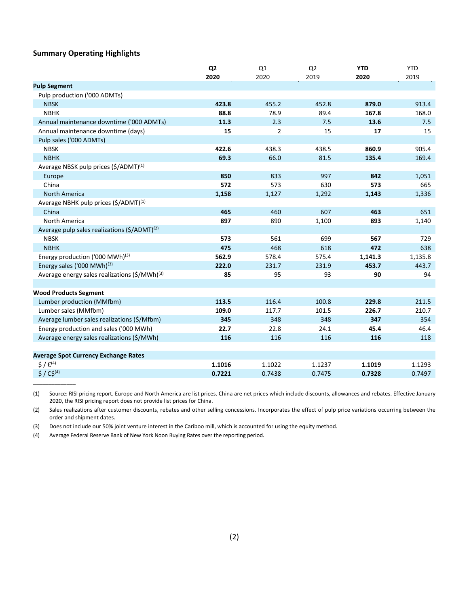## **Summary Operating Highlights**

\_\_\_\_\_\_\_\_\_\_\_\_\_\_

|                                                                 | Q <sub>2</sub> | Q1             | Q <sub>2</sub> | <b>YTD</b> | <b>YTD</b> |
|-----------------------------------------------------------------|----------------|----------------|----------------|------------|------------|
|                                                                 | 2020           | 2020           | 2019           | 2020       | 2019       |
| <b>Pulp Segment</b>                                             |                |                |                |            |            |
| Pulp production ('000 ADMTs)                                    |                |                |                |            |            |
| <b>NBSK</b>                                                     | 423.8          | 455.2          | 452.8          | 879.0      | 913.4      |
| <b>NBHK</b>                                                     | 88.8           | 78.9           | 89.4           | 167.8      | 168.0      |
| Annual maintenance downtime ('000 ADMTs)                        | 11.3           | 2.3            | 7.5            | 13.6       | 7.5        |
| Annual maintenance downtime (days)                              | 15             | $\overline{2}$ | 15             | 17         | 15         |
| Pulp sales ('000 ADMTs)                                         |                |                |                |            |            |
| <b>NBSK</b>                                                     | 422.6          | 438.3          | 438.5          | 860.9      | 905.4      |
| <b>NBHK</b>                                                     | 69.3           | 66.0           | 81.5           | 135.4      | 169.4      |
| Average NBSK pulp prices (\$/ADMT) <sup>(1)</sup>               |                |                |                |            |            |
| Europe                                                          | 850            | 833            | 997            | 842        | 1,051      |
| China                                                           | 572            | 573            | 630            | 573        | 665        |
| <b>North America</b>                                            | 1,158          | 1,127          | 1,292          | 1,143      | 1,336      |
| Average NBHK pulp prices (\$/ADMT) <sup>(1)</sup>               |                |                |                |            |            |
| China                                                           | 465            | 460            | 607            | 463        | 651        |
| <b>North America</b>                                            | 897            | 890            | 1,100          | 893        | 1,140      |
| Average pulp sales realizations (\$/ADMT) <sup>(2)</sup>        |                |                |                |            |            |
| <b>NBSK</b>                                                     | 573            | 561            | 699            | 567        | 729        |
| <b>NBHK</b>                                                     | 475            | 468            | 618            | 472        | 638        |
| Energy production ('000 MWh) $(3)$                              | 562.9          | 578.4          | 575.4          | 1,141.3    | 1,135.8    |
| Energy sales ('000 MWh) <sup>(3)</sup>                          | 222.0          | 231.7          | 231.9          | 453.7      | 443.7      |
| Average energy sales realizations $(\frac{2}{3})$ MWh $)^{(3)}$ | 85             | 95             | 93             | 90         | 94         |
|                                                                 |                |                |                |            |            |
| <b>Wood Products Segment</b>                                    |                |                |                |            |            |
| Lumber production (MMfbm)                                       | 113.5          | 116.4          | 100.8          | 229.8      | 211.5      |
| Lumber sales (MMfbm)                                            | 109.0          | 117.7          | 101.5          | 226.7      | 210.7      |
| Average lumber sales realizations (\$/Mfbm)                     | 345            | 348            | 348            | 347        | 354        |
| Energy production and sales ('000 MWh)                          | 22.7           | 22.8           | 24.1           | 45.4       | 46.4       |
| Average energy sales realizations (\$/MWh)                      | 116            | 116            | 116            | 116        | 118        |
|                                                                 |                |                |                |            |            |
| <b>Average Spot Currency Exchange Rates</b>                     |                |                |                |            |            |
| $5/6^{(4)}$                                                     | 1.1016         | 1.1022         | 1.1237         | 1.1019     | 1.1293     |
| $$ / C$^{(4)}$                                                  | 0.7221         | 0.7438         | 0.7475         | 0.7328     | 0.7497     |

(1) Source: RISI pricing report. Europe and North America are list prices. China are net prices which include discounts, allowances and rebates. Effective January 2020, the RISI pricing report does not provide list prices for China.

(2) Sales realizations after customer discounts, rebates and other selling concessions. Incorporates the effect of pulp price variations occurring between the order and shipment dates.

(3) Does not include our 50% joint venture interest in the Cariboo mill, which is accounted for using the equity method.

(4) Average Federal Reserve Bank of New York Noon Buying Rates over the reporting period.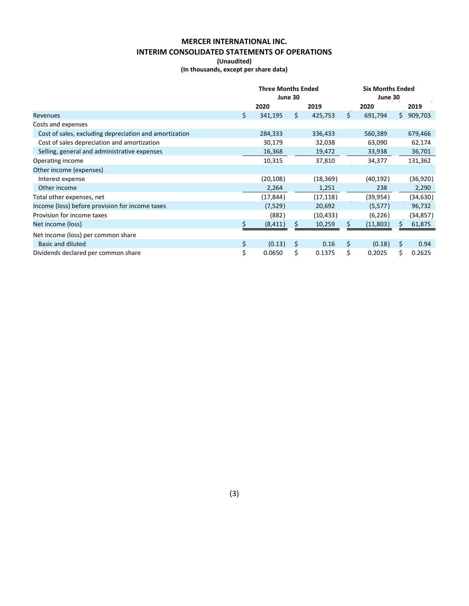# **MERCER INTERNATIONAL INC. INTERIM CONSOLIDATED STATEMENTS OF OPERATIONS**

**(Unaudited)**

**(In thousands, except per share data)**

|                                                        | <b>Three Months Ended</b><br>June 30 |    |           |    | <b>Six Months Ended</b><br>June 30 |    |           |  |
|--------------------------------------------------------|--------------------------------------|----|-----------|----|------------------------------------|----|-----------|--|
|                                                        | 2020                                 |    | 2019      |    | 2020                               |    | 2019      |  |
| <b>Revenues</b>                                        | \$<br>341,195                        | Ś. | 425,753   | Ŝ. | 691,794                            | Ś. | 909,703   |  |
| Costs and expenses                                     |                                      |    |           |    |                                    |    |           |  |
| Cost of sales, excluding depreciation and amortization | 284,333                              |    | 336,433   |    | 560,389                            |    | 679,466   |  |
| Cost of sales depreciation and amortization            | 30,179                               |    | 32,038    |    | 63,090                             |    | 62,174    |  |
| Selling, general and administrative expenses           | 16,368                               |    | 19,472    |    | 33,938                             |    | 36,701    |  |
| Operating income                                       | 10,315                               |    | 37,810    |    | 34,377                             |    | 131,362   |  |
| Other income (expenses)                                |                                      |    |           |    |                                    |    |           |  |
| Interest expense                                       | (20, 108)                            |    | (18, 369) |    | (40, 192)                          |    | (36, 920) |  |
| Other income                                           | 2,264                                |    | 1,251     |    | 238                                |    | 2,290     |  |
| Total other expenses, net                              | (17, 844)                            |    | (17, 118) |    | (39, 954)                          |    | (34, 630) |  |
| Income (loss) before provision for income taxes        | (7,529)                              |    | 20,692    |    | (5, 577)                           |    | 96,732    |  |
| Provision for income taxes                             | (882)                                |    | (10, 433) |    | (6, 226)                           |    | (34, 857) |  |
| Net income (loss)                                      | (8, 411)                             | S  | 10,259    |    | (11,803)                           |    | 61,875    |  |
| Net income (loss) per common share                     |                                      |    |           |    |                                    |    |           |  |
| Basic and diluted                                      | \$<br>(0.13)                         | \$ | 0.16      | \$ | (0.18)                             | \$ | 0.94      |  |
| Dividends declared per common share                    | \$<br>0.0650                         | \$ | 0.1375    | \$ | 0.2025                             | Ś. | 0.2625    |  |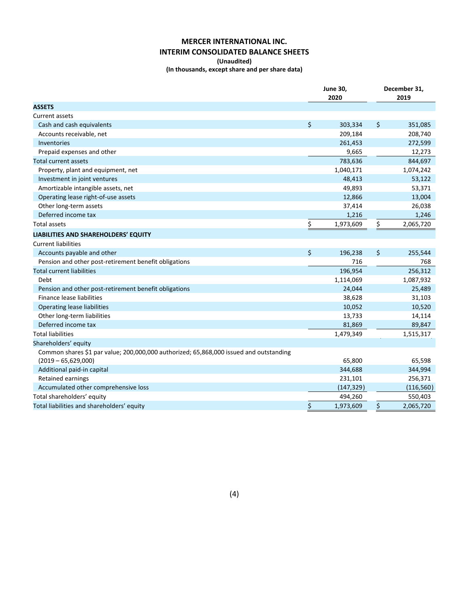# **MERCER INTERNATIONAL INC. INTERIM CONSOLIDATED BALANCE SHEETS**

#### **(Unaudited)**

**(In thousands, except share and per share data)**

|                                                                                        | <b>June 30,</b><br>2020 | December 31,<br>2019 |
|----------------------------------------------------------------------------------------|-------------------------|----------------------|
| <b>ASSETS</b>                                                                          |                         |                      |
| <b>Current assets</b>                                                                  |                         |                      |
| Cash and cash equivalents                                                              | \$<br>303,334           | \$<br>351,085        |
| Accounts receivable, net                                                               | 209,184                 | 208,740              |
| <b>Inventories</b>                                                                     | 261,453                 | 272,599              |
| Prepaid expenses and other                                                             | 9,665                   | 12,273               |
| Total current assets                                                                   | 783,636                 | 844,697              |
| Property, plant and equipment, net                                                     | 1,040,171               | 1,074,242            |
| Investment in joint ventures                                                           | 48,413                  | 53,122               |
| Amortizable intangible assets, net                                                     | 49,893                  | 53,371               |
| Operating lease right-of-use assets                                                    | 12,866                  | 13,004               |
| Other long-term assets                                                                 | 37,414                  | 26,038               |
| Deferred income tax                                                                    | 1,216                   | 1,246                |
| Total assets                                                                           | \$<br>1,973,609         | \$<br>2,065,720      |
| LIABILITIES AND SHAREHOLDERS' EQUITY                                                   |                         |                      |
| <b>Current liabilities</b>                                                             |                         |                      |
| Accounts payable and other                                                             | \$<br>196,238           | \$<br>255,544        |
| Pension and other post-retirement benefit obligations                                  | 716                     | 768                  |
| <b>Total current liabilities</b>                                                       | 196,954                 | 256,312              |
| Debt                                                                                   | 1,114,069               | 1,087,932            |
| Pension and other post-retirement benefit obligations                                  | 24,044                  | 25,489               |
| Finance lease liabilities                                                              | 38,628                  | 31,103               |
| <b>Operating lease liabilities</b>                                                     | 10,052                  | 10,520               |
| Other long-term liabilities                                                            | 13,733                  | 14,114               |
| Deferred income tax                                                                    | 81,869                  | 89,847               |
| <b>Total liabilities</b>                                                               | 1,479,349               | 1,515,317            |
| Shareholders' equity                                                                   |                         |                      |
| Common shares \$1 par value; 200,000,000 authorized; 65,868,000 issued and outstanding |                         |                      |
| $(2019 - 65, 629, 000)$                                                                | 65,800                  | 65,598               |
| Additional paid-in capital                                                             | 344,688                 | 344,994              |
| <b>Retained earnings</b>                                                               | 231,101                 | 256,371              |
| Accumulated other comprehensive loss                                                   | (147, 329)              | (116, 560)           |
| Total shareholders' equity                                                             | 494,260                 | 550,403              |
| Total liabilities and shareholders' equity                                             | \$<br>1,973,609         | \$<br>2,065,720      |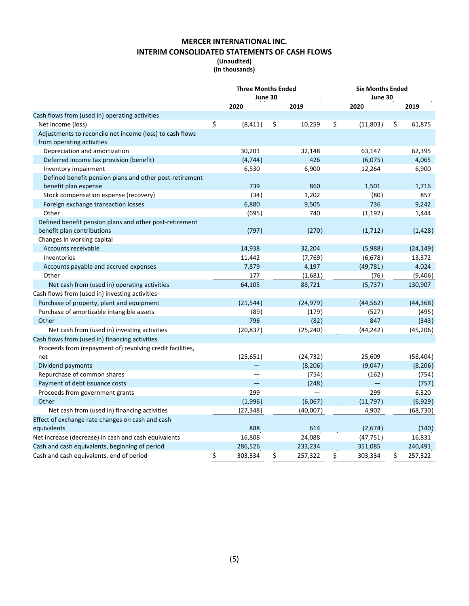# **MERCER INTERNATIONAL INC. INTERIM CONSOLIDATED STATEMENTS OF CASH FLOWS**

### **(Unaudited) (In thousands)**

|                                                           | <b>Three Months Ended</b><br><b>Six Months Ended</b><br>June 30<br>June 30 |    |           |    |           |               |  |  |
|-----------------------------------------------------------|----------------------------------------------------------------------------|----|-----------|----|-----------|---------------|--|--|
|                                                           | 2020                                                                       |    | 2019      |    | 2020      | 2019          |  |  |
| Cash flows from (used in) operating activities            |                                                                            |    |           |    |           |               |  |  |
| Net income (loss)                                         | \$<br>(8, 411)                                                             | \$ | 10,259    | \$ | (11,803)  | \$<br>61,875  |  |  |
| Adjustments to reconcile net income (loss) to cash flows  |                                                                            |    |           |    |           |               |  |  |
| from operating activities                                 |                                                                            |    |           |    |           |               |  |  |
| Depreciation and amortization                             | 30,201                                                                     |    | 32,148    |    | 63,147    | 62,395        |  |  |
| Deferred income tax provision (benefit)                   | (4, 744)                                                                   |    | 426       |    | (6,075)   | 4,065         |  |  |
| Inventory impairment                                      | 6,530                                                                      |    | 6,900     |    | 12,264    | 6,900         |  |  |
| Defined benefit pension plans and other post-retirement   |                                                                            |    |           |    |           |               |  |  |
| benefit plan expense                                      | 739                                                                        |    | 860       |    | 1,501     | 1,716         |  |  |
| Stock compensation expense (recovery)                     | (34)                                                                       |    | 1,202     |    | (80)      | 857           |  |  |
| Foreign exchange transaction losses                       | 6,880                                                                      |    | 9,505     |    | 736       | 9,242         |  |  |
| Other                                                     | (695)                                                                      |    | 740       |    | (1, 192)  | 1,444         |  |  |
| Defined benefit pension plans and other post-retirement   |                                                                            |    |           |    |           |               |  |  |
| benefit plan contributions                                | (797)                                                                      |    | (270)     |    | (1, 712)  | (1, 428)      |  |  |
| Changes in working capital                                |                                                                            |    |           |    |           |               |  |  |
| Accounts receivable                                       | 14,938                                                                     |    | 32,204    |    | (5,988)   | (24, 149)     |  |  |
| Inventories                                               | 11,442                                                                     |    | (7, 769)  |    | (6,678)   | 13,372        |  |  |
| Accounts payable and accrued expenses                     | 7,879                                                                      |    | 4,197     |    | (49, 781) | 4,024         |  |  |
| Other                                                     | 177                                                                        |    | (1,681)   |    | (76)      | (9,406)       |  |  |
| Net cash from (used in) operating activities              | 64,105                                                                     |    | 88,721    |    | (5, 737)  | 130,907       |  |  |
| Cash flows from (used in) investing activities            |                                                                            |    |           |    |           |               |  |  |
| Purchase of property, plant and equipment                 | (21, 544)                                                                  |    | (24, 979) |    | (44, 562) | (44, 368)     |  |  |
| Purchase of amortizable intangible assets                 | (89)                                                                       |    | (179)     |    | (527)     | (495)         |  |  |
| Other                                                     | 796                                                                        |    | (82)      |    | 847       | (343)         |  |  |
| Net cash from (used in) investing activities              | (20, 837)                                                                  |    | (25, 240) |    | (44, 242) | (45, 206)     |  |  |
| Cash flows from (used in) financing activities            |                                                                            |    |           |    |           |               |  |  |
| Proceeds from (repayment of) revolving credit facilities, |                                                                            |    |           |    |           |               |  |  |
| net                                                       | (25, 651)                                                                  |    | (24, 732) |    | 25,609    | (58, 404)     |  |  |
| Dividend payments                                         |                                                                            |    | (8, 206)  |    | (9,047)   | (8, 206)      |  |  |
| Repurchase of common shares                               |                                                                            |    | (754)     |    | (162)     | (754)         |  |  |
| Payment of debt issuance costs                            | $\overline{\phantom{0}}$                                                   |    | (248)     |    |           | (757)         |  |  |
| Proceeds from government grants                           | 299                                                                        |    |           |    | 299       | 6,320         |  |  |
| Other                                                     | (1,996)                                                                    |    | (6,067)   |    | (11, 797) | (6,929)       |  |  |
| Net cash from (used in) financing activities              | (27, 348)                                                                  |    | (40,007)  |    | 4,902     | (68, 730)     |  |  |
| Effect of exchange rate changes on cash and cash          |                                                                            |    |           |    |           |               |  |  |
| equivalents                                               | 888                                                                        |    | 614       |    | (2,674)   | (140)         |  |  |
| Net increase (decrease) in cash and cash equivalents      | 16,808                                                                     |    | 24,088    |    | (47, 751) | 16,831        |  |  |
| Cash and cash equivalents, beginning of period            | 286,526                                                                    |    | 233,234   |    | 351,085   | 240,491       |  |  |
| Cash and cash equivalents, end of period                  | \$<br>303,334                                                              | \$ | 257,322   | \$ | 303,334   | \$<br>257,322 |  |  |